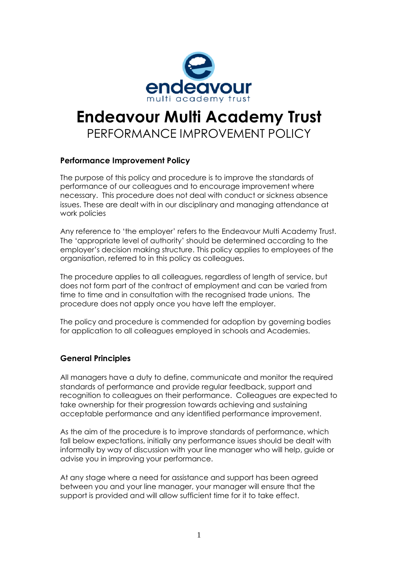

# **Endeavour Multi Academy Trust** PERFORMANCE IMPROVEMENT POLICY

# **Performance Improvement Policy**

The purpose of this policy and procedure is to improve the standards of performance of our colleagues and to encourage improvement where necessary. This procedure does not deal with conduct or sickness absence issues. These are dealt with in our disciplinary and managing attendance at work policies

Any reference to 'the employer' refers to the Endeavour Multi Academy Trust. The 'appropriate level of authority' should be determined according to the employer's decision making structure. This policy applies to employees of the organisation, referred to in this policy as colleagues.

The procedure applies to all colleagues, regardless of length of service, but does not form part of the contract of employment and can be varied from time to time and in consultation with the recognised trade unions. The procedure does not apply once you have left the employer.

The policy and procedure is commended for adoption by governing bodies for application to all colleagues employed in schools and Academies.

# **General Principles**

All managers have a duty to define, communicate and monitor the required standards of performance and provide regular feedback, support and recognition to colleagues on their performance. Colleagues are expected to take ownership for their progression towards achieving and sustaining acceptable performance and any identified performance improvement.

As the aim of the procedure is to improve standards of performance, which fall below expectations, initially any performance issues should be dealt with informally by way of discussion with your line manager who will help, guide or advise you in improving your performance.

At any stage where a need for assistance and support has been agreed between you and your line manager, your manager will ensure that the support is provided and will allow sufficient time for it to take effect.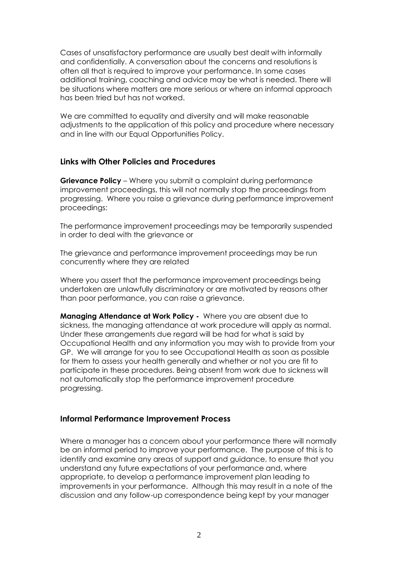Cases of unsatisfactory performance are usually best dealt with informally and confidentially. A conversation about the concerns and resolutions is often all that is required to improve your performance. In some cases additional training, coaching and advice may be what is needed. There will be situations where matters are more serious or where an informal approach has been tried but has not worked.

We are committed to equality and diversity and will make reasonable adjustments to the application of this policy and procedure where necessary and in line with our Equal Opportunities Policy.

### **Links with Other Policies and Procedures**

**Grievance Policy** – Where you submit a complaint during performance improvement proceedings, this will not normally stop the proceedings from progressing. Where you raise a grievance during performance improvement proceedings:

The performance improvement proceedings may be temporarily suspended in order to deal with the grievance or

The grievance and performance improvement proceedings may be run concurrently where they are related

Where you assert that the performance improvement proceedings being undertaken are unlawfully discriminatory or are motivated by reasons other than poor performance, you can raise a grievance.

**Managing Attendance at Work Policy -** Where you are absent due to sickness, the managing attendance at work procedure will apply as normal. Under these arrangements due regard will be had for what is said by Occupational Health and any information you may wish to provide from your GP. We will arrange for you to see Occupational Health as soon as possible for them to assess your health generally and whether or not you are fit to participate in these procedures. Being absent from work due to sickness will not automatically stop the performance improvement procedure progressing.

#### **Informal Performance Improvement Process**

Where a manager has a concern about your performance there will normally be an informal period to improve your performance. The purpose of this is to identify and examine any areas of support and guidance, to ensure that you understand any future expectations of your performance and, where appropriate, to develop a performance improvement plan leading to improvements in your performance. Although this may result in a note of the discussion and any follow-up correspondence being kept by your manager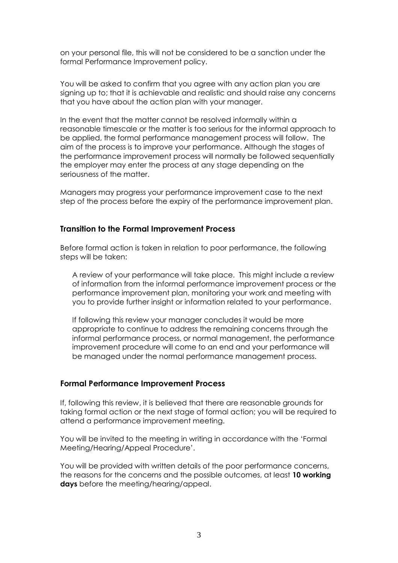on your personal file, this will not be considered to be a sanction under the formal Performance Improvement policy.

You will be asked to confirm that you agree with any action plan you are signing up to; that it is achievable and realistic and should raise any concerns that you have about the action plan with your manager.

In the event that the matter cannot be resolved informally within a reasonable timescale or the matter is too serious for the informal approach to be applied, the formal performance management process will follow. The aim of the process is to improve your performance. Although the stages of the performance improvement process will normally be followed sequentially the employer may enter the process at any stage depending on the seriousness of the matter.

Managers may progress your performance improvement case to the next step of the process before the expiry of the performance improvement plan.

#### **Transition to the Formal Improvement Process**

Before formal action is taken in relation to poor performance, the following steps will be taken:

A review of your performance will take place. This might include a review of information from the informal performance improvement process or the performance improvement plan, monitoring your work and meeting with you to provide further insight or information related to your performance.

If following this review your manager concludes it would be more appropriate to continue to address the remaining concerns through the informal performance process, or normal management, the performance improvement procedure will come to an end and your performance will be managed under the normal performance management process.

#### **Formal Performance Improvement Process**

If, following this review, it is believed that there are reasonable grounds for taking formal action or the next stage of formal action; you will be required to attend a performance improvement meeting.

You will be invited to the meeting in writing in accordance with the 'Formal Meeting/Hearing/Appeal Procedure'.

You will be provided with written details of the poor performance concerns, the reasons for the concerns and the possible outcomes, at least **10 working days** before the meeting/hearing/appeal.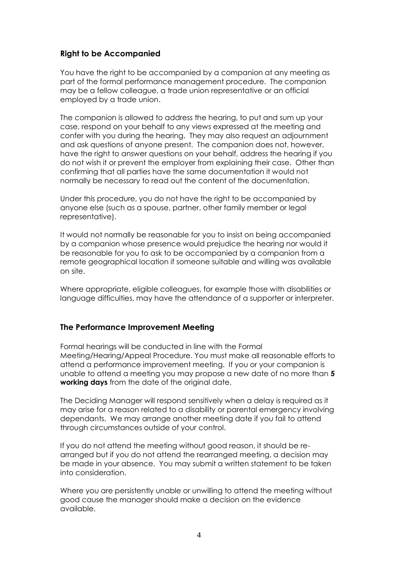# **Right to be Accompanied**

You have the right to be accompanied by a companion at any meeting as part of the formal performance management procedure. The companion may be a fellow colleague, a trade union representative or an official employed by a trade union.

The companion is allowed to address the hearing, to put and sum up your case, respond on your behalf to any views expressed at the meeting and confer with you during the hearing. They may also request an adjournment and ask questions of anyone present. The companion does not, however, have the right to answer questions on your behalf, address the hearing if you do not wish it or prevent the employer from explaining their case. Other than confirming that all parties have the same documentation it would not normally be necessary to read out the content of the documentation.

Under this procedure, you do not have the right to be accompanied by anyone else (such as a spouse, partner, other family member or legal representative).

It would not normally be reasonable for you to insist on being accompanied by a companion whose presence would prejudice the hearing nor would it be reasonable for you to ask to be accompanied by a companion from a remote geographical location if someone suitable and willing was available on site.

Where appropriate, eligible colleagues, for example those with disabilities or language difficulties, may have the attendance of a supporter or interpreter.

## **The Performance Improvement Meeting**

Formal hearings will be conducted in line with the Formal Meeting/Hearing/Appeal Procedure. You must make all reasonable efforts to attend a performance improvement meeting. If you or your companion is unable to attend a meeting you may propose a new date of no more than **5 working days** from the date of the original date.

The Deciding Manager will respond sensitively when a delay is required as it may arise for a reason related to a disability or parental emergency involving dependants. We may arrange another meeting date if you fail to attend through circumstances outside of your control.

If you do not attend the meeting without good reason, it should be rearranged but if you do not attend the rearranged meeting, a decision may be made in your absence. You may submit a written statement to be taken into consideration.

Where you are persistently unable or unwilling to attend the meeting without good cause the manager should make a decision on the evidence available.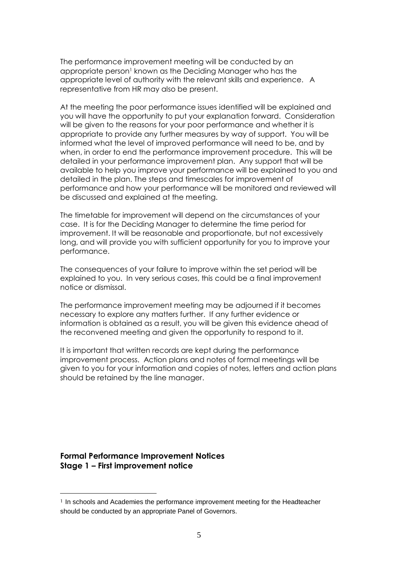The performance improvement meeting will be conducted by an appropriate person<sup>1</sup> known as the Deciding Manager who has the appropriate level of authority with the relevant skills and experience. A representative from HR may also be present.

At the meeting the poor performance issues identified will be explained and you will have the opportunity to put your explanation forward. Consideration will be given to the reasons for your poor performance and whether it is appropriate to provide any further measures by way of support. You will be informed what the level of improved performance will need to be, and by when, in order to end the performance improvement procedure. This will be detailed in your performance improvement plan. Any support that will be available to help you improve your performance will be explained to you and detailed in the plan. The steps and timescales for improvement of performance and how your performance will be monitored and reviewed will be discussed and explained at the meeting.

The timetable for improvement will depend on the circumstances of your case. It is for the Deciding Manager to determine the time period for improvement. It will be reasonable and proportionate, but not excessively long, and will provide you with sufficient opportunity for you to improve your performance.

The consequences of your failure to improve within the set period will be explained to you. In very serious cases, this could be a final improvement notice or dismissal.

The performance improvement meeting may be adjourned if it becomes necessary to explore any matters further. If any further evidence or information is obtained as a result, you will be given this evidence ahead of the reconvened meeting and given the opportunity to respond to it.

It is important that written records are kept during the performance improvement process. Action plans and notes of formal meetings will be given to you for your information and copies of notes, letters and action plans should be retained by the line manager.

**Formal Performance Improvement Notices Stage 1 – First improvement notice**

 $\overline{a}$ 

<sup>&</sup>lt;sup>1</sup> In schools and Academies the performance improvement meeting for the Headteacher should be conducted by an appropriate Panel of Governors.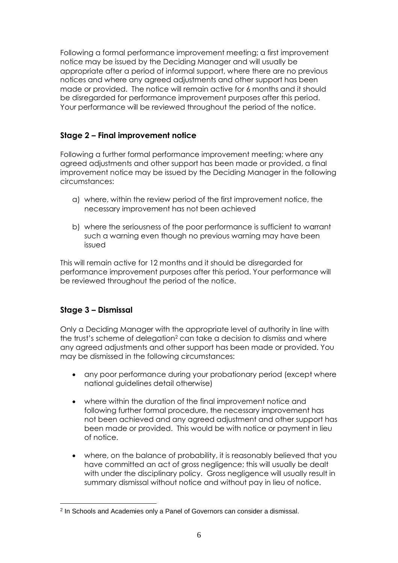Following a formal performance improvement meeting; a first improvement notice may be issued by the Deciding Manager and will usually be appropriate after a period of informal support, where there are no previous notices and where any agreed adjustments and other support has been made or provided. The notice will remain active for 6 months and it should be disregarded for performance improvement purposes after this period. Your performance will be reviewed throughout the period of the notice.

# **Stage 2 – Final improvement notice**

Following a further formal performance improvement meeting; where any agreed adjustments and other support has been made or provided, a final improvement notice may be issued by the Deciding Manager in the following circumstances:

- a) where, within the review period of the first improvement notice, the necessary improvement has not been achieved
- b) where the seriousness of the poor performance is sufficient to warrant such a warning even though no previous warning may have been issued

This will remain active for 12 months and it should be disregarded for performance improvement purposes after this period. Your performance will be reviewed throughout the period of the notice.

# **Stage 3 – Dismissal**

 $\overline{a}$ 

Only a Deciding Manager with the appropriate level of authority in line with the trust's scheme of delegation<sup>2</sup> can take a decision to dismiss and where any agreed adjustments and other support has been made or provided. You may be dismissed in the following circumstances:

- any poor performance during your probationary period (except where national guidelines detail otherwise)
- where within the duration of the final improvement notice and following further formal procedure, the necessary improvement has not been achieved and any agreed adjustment and other support has been made or provided. This would be with notice or payment in lieu of notice.
- where, on the balance of probability, it is reasonably believed that you have committed an act of gross negligence; this will usually be dealt with under the disciplinary policy. Gross negligence will usually result in summary dismissal without notice and without pay in lieu of notice.

<sup>&</sup>lt;sup>2</sup> In Schools and Academies only a Panel of Governors can consider a dismissal.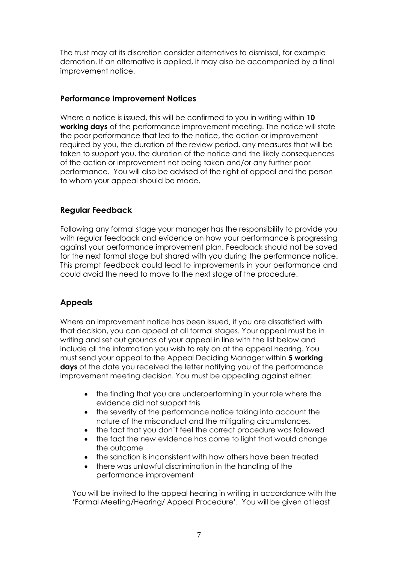The trust may at its discretion consider alternatives to dismissal, for example demotion. If an alternative is applied, it may also be accompanied by a final improvement notice.

## **Performance Improvement Notices**

Where a notice is issued, this will be confirmed to you in writing within **10 working days** of the performance improvement meeting. The notice will state the poor performance that led to the notice, the action or improvement required by you, the duration of the review period, any measures that will be taken to support you, the duration of the notice and the likely consequences of the action or improvement not being taken and/or any further poor performance. You will also be advised of the right of appeal and the person to whom your appeal should be made.

# **Regular Feedback**

Following any formal stage your manager has the responsibility to provide you with regular feedback and evidence on how your performance is progressing against your performance improvement plan. Feedback should not be saved for the next formal stage but shared with you during the performance notice. This prompt feedback could lead to improvements in your performance and could avoid the need to move to the next stage of the procedure.

# **Appeals**

Where an improvement notice has been issued, if you are dissatisfied with that decision, you can appeal at all formal stages. Your appeal must be in writing and set out grounds of your appeal in line with the list below and include all the information you wish to rely on at the appeal hearing. You must send your appeal to the Appeal Deciding Manager within **5 working days** of the date you received the letter notifying you of the performance improvement meeting decision. You must be appealing against either:

- the finding that you are underperforming in your role where the evidence did not support this
- the severity of the performance notice taking into account the nature of the misconduct and the mitigating circumstances.
- the fact that you don't feel the correct procedure was followed
- the fact the new evidence has come to light that would change the outcome
- the sanction is inconsistent with how others have been treated
- there was unlawful discrimination in the handling of the performance improvement

You will be invited to the appeal hearing in writing in accordance with the 'Formal Meeting/Hearing/ Appeal Procedure'. You will be given at least